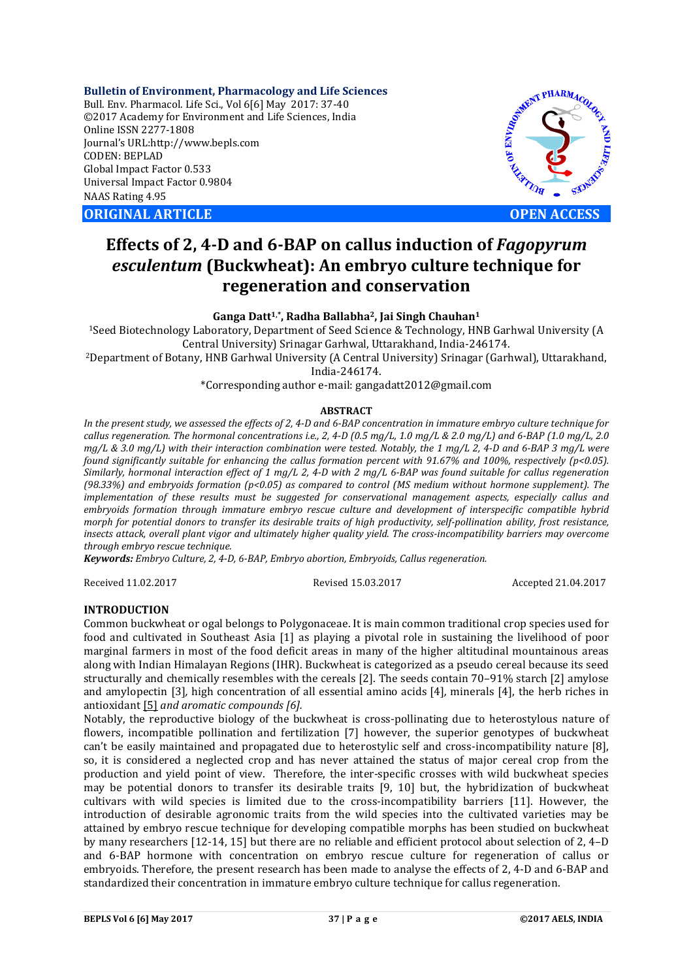**Bulletin of Environment, Pharmacology and Life Sciences** Bull. Env. Pharmacol. Life Sci., Vol 6[6] May 2017: 37-40 ©2017 Academy for Environment and Life Sciences, India Online ISSN 2277-1808 Journal's URL:http://www.bepls.com CODEN: BEPLAD Global Impact Factor 0.533 Universal Impact Factor 0.9804 NAAS Rating 4.95

**ORIGINAL ARTICLE OPEN ACCESS** 



# **Effects of 2, 4-D and 6-BAP on callus induction of** *Fagopyrum esculentum* **(Buckwheat): An embryo culture technique for regeneration and conservation**

## **Ganga Datt1' \*, Radha Ballabha2, Jai Singh Chauhan1**

1Seed Biotechnology Laboratory, Department of Seed Science & Technology, HNB Garhwal University (A Central University) Srinagar Garhwal, Uttarakhand, India-246174.

2Department of Botany, HNB Garhwal University (A Central University) Srinagar (Garhwal), Uttarakhand, India-246174.

\*Corresponding author e-mail: gangadatt2012@gmail.com

## **ABSTRACT**

*In the present study, we assessed the effects of 2, 4-D and 6-BAP concentration in immature embryo culture technique for callus regeneration. The hormonal concentrations i.e., 2, 4-D (0.5 mg/L, 1.0 mg/L & 2.0 mg/L) and 6-BAP (1.0 mg/L, 2.0 mg/L & 3.0 mg/L) with their interaction combination were tested. Notably, the 1 mg/L 2, 4-D and 6-BAP 3 mg/L were found significantly suitable for enhancing the callus formation percent with 91.67% and 100%, respectively (p<0.05). Similarly, hormonal interaction effect of 1 mg/L 2, 4-D with 2 mg/L 6-BAP was found suitable for callus regeneration (98.33%) and embryoids formation (p<0.05) as compared to control (MS medium without hormone supplement). The implementation of these results must be suggested for conservational management aspects, especially callus and embryoids formation through immature embryo rescue culture and development of interspecific compatible hybrid morph for potential donors to transfer its desirable traits of high productivity, self-pollination ability, frost resistance, insects attack, overall plant vigor and ultimately higher quality yield. The cross-incompatibility barriers may overcome through embryo rescue technique.*

*Keywords: Embryo Culture, 2, 4-D, 6-BAP, Embryo abortion, Embryoids, Callus regeneration.*

Received 11.02.2017 Revised 15.03.2017 Accepted 21.04.2017

## **INTRODUCTION**

Common buckwheat or ogal belongs to Polygonaceae. It is main common traditional crop species used for food and cultivated in Southeast Asia [1] as playing a pivotal role in sustaining the livelihood of poor marginal farmers in most of the food deficit areas in many of the higher altitudinal mountainous areas along with Indian Himalayan Regions (IHR). Buckwheat is categorized as a pseudo cereal because its seed structurally and chemically resembles with the cereals [2]. The seeds contain 70–91% starch [2] amylose and amylopectin [3]*,* high concentration of all essential amino acids [4]*,* minerals [4], the herb riches in antioxidant [5] *and aromatic compounds [6].* 

Notably, the reproductive biology of the buckwheat is cross-pollinating due to heterostylous nature of flowers, incompatible pollination and fertilization [7] however, the superior genotypes of buckwheat can't be easily maintained and propagated due to heterostylic self and cross-incompatibility nature [8], so, it is considered a neglected crop and has never attained the status of major cereal crop from the production and yield point of view. Therefore, the inter-specific crosses with wild buckwheat species may be potential donors to transfer its desirable traits [9, 10] but, the hybridization of buckwheat cultivars with wild species is limited due to the cross-incompatibility barriers [11]. However, the introduction of desirable agronomic traits from the wild species into the cultivated varieties may be attained by embryo rescue technique for developing compatible morphs has been studied on buckwheat by many researchers [12-14, 15] but there are no reliable and efficient protocol about selection of 2, 4–D and 6-BAP hormone with concentration on embryo rescue culture for regeneration of callus or embryoids. Therefore, the present research has been made to analyse the effects of 2, 4-D and 6-BAP and standardized their concentration in immature embryo culture technique for callus regeneration.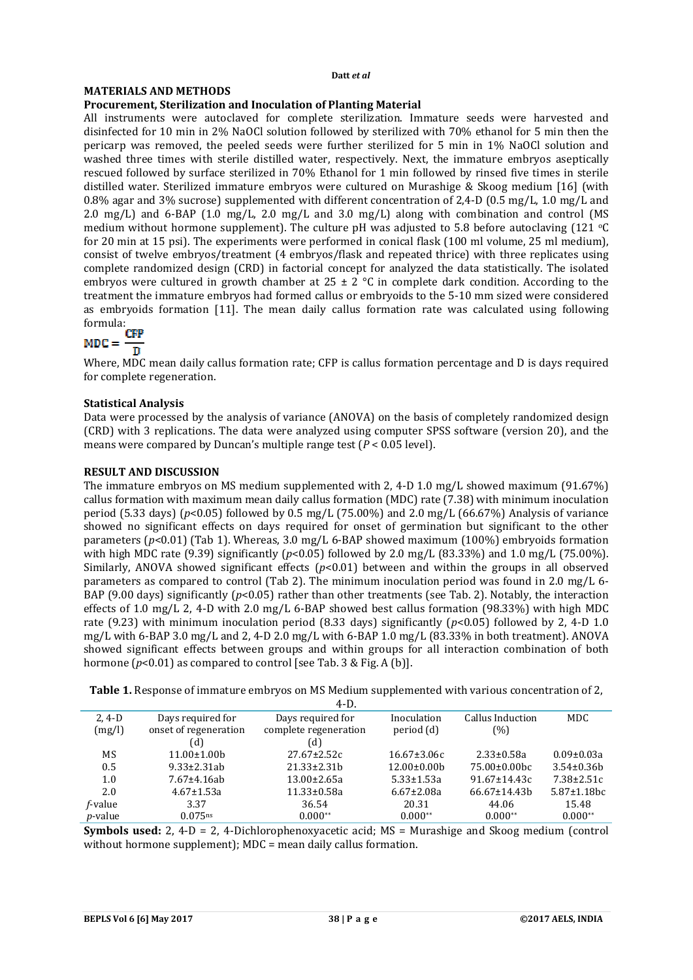#### **Datt** *et al*

# **MATERIALS AND METHODS**

# **Procurement, Sterilization and Inoculation of Planting Material**

All instruments were autoclaved for complete sterilization. Immature seeds were harvested and disinfected for 10 min in 2% NaOCl solution followed by sterilized with 70% ethanol for 5 min then the pericarp was removed, the peeled seeds were further sterilized for 5 min in 1% NaOCl solution and washed three times with sterile distilled water, respectively. Next, the immature embryos aseptically rescued followed by surface sterilized in 70% Ethanol for 1 min followed by rinsed five times in sterile distilled water. Sterilized immature embryos were cultured on Murashige & Skoog medium [16] (with 0.8% agar and 3% sucrose) supplemented with different concentration of 2,4-D (0.5 mg/L, 1.0 mg/L and 2.0 mg/L) and 6-BAP (1.0 mg/L, 2.0 mg/L and 3.0 mg/L) along with combination and control (MS medium without hormone supplement). The culture pH was adjusted to 5.8 before autoclaving (121  $\degree$ C for 20 min at 15 psi). The experiments were performed in conical flask (100 ml volume, 25 ml medium), consist of twelve embryos/treatment (4 embryos/flask and repeated thrice) with three replicates using complete randomized design (CRD) in factorial concept for analyzed the data statistically. The isolated embryos were cultured in growth chamber at  $25 \pm 2$  °C in complete dark condition. According to the treatment the immature embryos had formed callus or embryoids to the 5-10 mm sized were considered as embryoids formation [11]. The mean daily callus formation rate was calculated using following formula:

$$
MDC = \frac{CFP}{D}
$$

Where, MDC mean daily callus formation rate; CFP is callus formation percentage and D is days required for complete regeneration.

# **Statistical Analysis**

Data were processed by the analysis of variance (ANOVA) on the basis of completely randomized design (CRD) with 3 replications. The data were analyzed using computer SPSS software (version 20), and the means were compared by Duncan's multiple range test (*P* < 0.05 level).

# **RESULT AND DISCUSSION**

The immature embryos on MS medium supplemented with 2, 4-D 1.0 mg/L showed maximum (91.67%) callus formation with maximum mean daily callus formation (MDC) rate (7.38) with minimum inoculation period (5.33 days) (*p*<0.05) followed by 0.5 mg/L (75.00%) and 2.0 mg/L (66.67%) Analysis of variance showed no significant effects on days required for onset of germination but significant to the other parameters (*p*<0.01) (Tab 1). Whereas, 3.0 mg/L 6-BAP showed maximum (100%) embryoids formation with high MDC rate (9.39) significantly ( $p$ <0.05) followed by 2.0 mg/L (83.33%) and 1.0 mg/L (75.00%). Similarly, ANOVA showed significant effects ( $p<0.01$ ) between and within the groups in all observed parameters as compared to control (Tab 2). The minimum inoculation period was found in 2.0 mg/L 6- BAP (9.00 days) significantly (*p*<0.05) rather than other treatments (see Tab. 2). Notably, the interaction effects of 1.0 mg/L 2, 4-D with 2.0 mg/L 6-BAP showed best callus formation (98.33%) with high MDC rate (9.23) with minimum inoculation period (8.33 days) significantly (*p*<0.05) followed by 2, 4-D 1.0 mg/L with 6-BAP 3.0 mg/L and 2, 4-D 2.0 mg/L with 6-BAP 1.0 mg/L (83.33% in both treatment). ANOVA showed significant effects between groups and within groups for all interaction combination of both hormone ( $p$ <0.01) as compared to control [see Tab. 3 & Fig. A (b)].

**Table 1.** Response of immature embryos on MS Medium supplemented with various concentration of 2,

|                 |                       | $4-D.$                |                   |                     |                    |
|-----------------|-----------------------|-----------------------|-------------------|---------------------|--------------------|
| $2, 4-D$        | Days required for     | Days required for     | Inoculation       | Callus Induction    | MDC.               |
| (mg/l)          | onset of regeneration | complete regeneration | period (d)        | (% )                |                    |
|                 | (d)                   | (d)                   |                   |                     |                    |
| MS              | $11.00 \pm 1.00$      | $27.67 \pm 2.52c$     | $16.67 \pm 3.06c$ | $2.33 \pm 0.58a$    | $0.09 \pm 0.03a$   |
| 0.5             | $9.33 \pm 2.31$ ab    | $21.33 \pm 2.31 h$    | $12.00\pm0.00b$   | $75.00\pm0.00$ bc   | $3.54 \pm 0.36h$   |
| 1.0             | $7.67 \pm 4.16$ ab    | $13.00 \pm 2.65a$     | $5.33 \pm 1.53a$  | $91.67 \pm 14.43c$  | $7.38 \pm 2.51c$   |
| 2.0             | $4.67 \pm 1.53a$      | $11.33 \pm 0.58a$     | $6.67 \pm 2.08a$  | $66.67 \pm 14.43$ h | $5.87 \pm 1.18$ bc |
| f-value         | 3.37                  | 36.54                 | 20.31             | 44.06               | 15.48              |
| <i>p</i> -value | $0.075$ <sup>ns</sup> | $0.000**$             | $0.000**$         | $0.000**$           | $0.000**$          |

**Symbols used:** 2, 4-D = 2, 4-Dichlorophenoxyacetic acid: MS = Murashige and Skoog medium (control without hormone supplement); MDC = mean daily callus formation.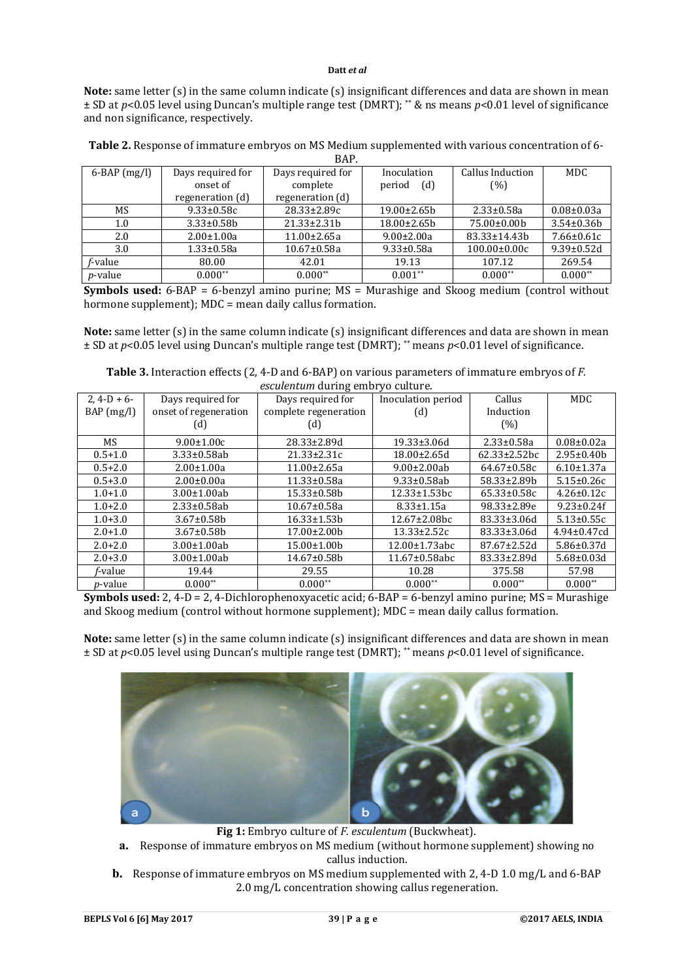# **Datt** *et al*

**Note:** same letter (s) in the same column indicate (s) insignificant differences and data are shown in mean ± SD at *p*<0.05 level using Duncan's multiple range test (DMRT); \*\* & ns means *p*<0.01 level of significance and non significance, respectively.

| $6-BAP$ (mg/l)  | Days required for | Days required for  | Inoculation        | Callus Induction   | MDC.              |
|-----------------|-------------------|--------------------|--------------------|--------------------|-------------------|
|                 | onset of          | complete           | (d)<br>period      | (% )               |                   |
|                 | regeneration (d)  | regeneration (d)   |                    |                    |                   |
| MS              | $9.33 \pm 0.58c$  | $28.33 \pm 2.89c$  | $19.00 \pm 2.65$   | $2.33 \pm 0.58a$   | $0.08 \pm 0.03a$  |
| 1.0             | $3.33 \pm 0.58$   | $21.33 \pm 2.31 b$ | $18.00 \pm 2.65 b$ | 75.00±0.00b        | $3.54 \pm 0.36 b$ |
| 2.0             | $2.00 \pm 1.00a$  | $11.00 \pm 2.65a$  | $9.00 \pm 2.00a$   | 83.33±14.43b       | $7.66 \pm 0.61c$  |
| 3.0             | $1.33 \pm 0.58a$  | $10.67 \pm 0.58a$  | $9.33 \pm 0.58a$   | $100.00 \pm 0.00c$ | $9.39 \pm 0.52d$  |
| f-value         | 80.00             | 42.01              | 19.13              | 107.12             | 269.54            |
| <i>p</i> -value | $0.000**$         | $0.000**$          | $0.001**$          | $0.000**$          | $0.000**$         |

**Table 2.** Response of immature embryos on MS Medium supplemented with various concentration of 6- BAP.

**Symbols used:** 6-BAP = 6-benzyl amino purine; MS = Murashige and Skoog medium (control without hormone supplement); MDC = mean daily callus formation.

**Note:** same letter (s) in the same column indicate (s) insignificant differences and data are shown in mean ± SD at *p*<0.05 level using Duncan's multiple range test (DMRT); \*\* means *p*<0.01 level of significance.

**Table 3.** Interaction effects (2, 4-D and 6-BAP) on various parameters of immature embryos of *F. esculentum* during embryo culture.

| $2.4-D+6$       | Days required for     | Days required for     | Inoculation period   | Callus              | <b>MDC</b>         |
|-----------------|-----------------------|-----------------------|----------------------|---------------------|--------------------|
| $BAP$ (mg/l)    | onset of regeneration | complete regeneration | (d)                  | Induction           |                    |
|                 | (d)                   | (d)                   |                      | (% )                |                    |
| MS              | $9.00 \pm 1.00c$      | $28.33 \pm 2.89$ d    | 19.33±3.06d          | $2.33 \pm 0.58a$    | $0.08 \pm 0.02a$   |
| $0.5 + 1.0$     | $3.33 \pm 0.58$ ab    | $21.33 \pm 2.31c$     | $18.00 \pm 2.65$ d   | $62.33 \pm 2.52$ bc | $2.95 \pm 0.40 b$  |
| $0.5 + 2.0$     | $2.00 \pm 1.00a$      | $11.00 \pm 2.65a$     | $9.00 \pm 2.00$ ab   | $64.67 \pm 0.58c$   | $6.10 \pm 1.37$ a  |
| $0.5 + 3.0$     | $2.00 \pm 0.00a$      | 11.33±0.58a           | $9.33 \pm 0.58$ ab   | 58.33±2.89b         | $5.15 \pm 0.26c$   |
| $1.0 + 1.0$     | $3.00 \pm 1.00$ ab    | 15.33±0.58b           | $12.33 \pm 1.53$ bc  | $65.33 \pm 0.58c$   | $4.26 \pm 0.12c$   |
| $1.0 + 2.0$     | $2.33 \pm 0.58$ ab    | $10.67 \pm 0.58a$     | $8.33 \pm 1.15a$     | 98.33±2.89e         | $9.23 \pm 0.24$ f  |
| $1.0 + 3.0$     | $3.67 \pm 0.58$ b     | $16.33 \pm 1.53 b$    | $12.67 \pm 2.08$ bc  | 83.33±3.06d         | $5.13 \pm 0.55c$   |
| $2.0 + 1.0$     | $3.67 \pm 0.58$ b     | $17.00 \pm 2.00 b$    | $13.33 \pm 2.52c$    | 83.33±3.06d         | $4.94 \pm 0.47$ cd |
| $2.0 + 2.0$     | $3.00 \pm 1.00$ ab    | $15.00 \pm 1.00 b$    | 12.00±1.73abc        | 87.67±2.52d         | $5.86 \pm 0.37$ d  |
| $2.0 + 3.0$     | $3.00 \pm 1.00$ ab    | 14.67±0.58b           | $11.67 \pm 0.58$ abc | 83.33±2.89d         | $5.68 \pm 0.03$ d  |
| f-value         | 19.44                 | 29.55                 | 10.28                | 375.58              | 57.98              |
| <i>p</i> -value | $0.000**$             | $0.000**$             | $0.000**$            | $0.000**$           | $0.000**$          |

**Symbols used:** 2, 4-D = 2, 4-Dichlorophenoxyacetic acid; 6-BAP = 6-benzyl amino purine; MS = Murashige and Skoog medium (control without hormone supplement); MDC = mean daily callus formation.

**Note:** same letter (s) in the same column indicate (s) insignificant differences and data are shown in mean ± SD at *p*<0.05 level using Duncan's multiple range test (DMRT); \*\* means *p*<0.01 level of significance.



**Fig 1:** Embryo culture of *F. esculentum* (Buckwheat).

- **a.** Response of immature embryos on MS medium (without hormone supplement) showing no callus induction.
- **b.** Response of immature embryos on MS medium supplemented with 2, 4-D 1.0 mg/L and 6-BAP 2.0 mg/L concentration showing callus regeneration.